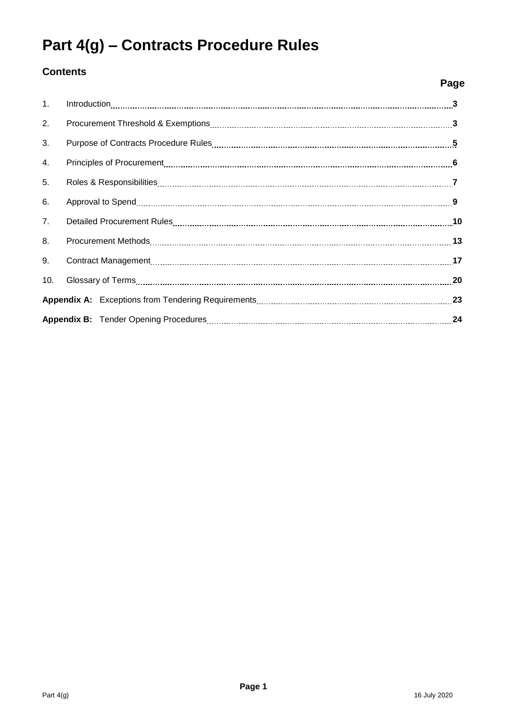# **Part 4(g) – Contracts Procedure Rules**

## **Contents**

|                | Page |
|----------------|------|
| 1 <sub>1</sub> |      |
| 2.             |      |
| 3.             |      |
| 4.             |      |
| 5.             |      |
| 6.             |      |
| 7.             |      |
| 8.             |      |
| 9.             |      |
| 10.            |      |
|                |      |
|                | 24   |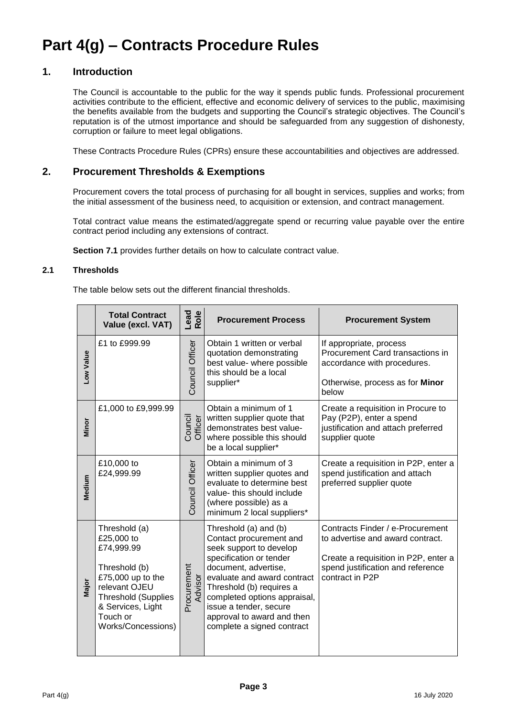## **Part 4(g) – Contracts Procedure Rules**

## **1. Introduction**

The Council is accountable to the public for the way it spends public funds. Professional procurement activities contribute to the efficient, effective and economic delivery of services to the public, maximising the benefits available from the budgets and supporting the Council's strategic objectives. The Council's reputation is of the utmost importance and should be safeguarded from any suggestion of dishonesty, corruption or failure to meet legal obligations.

These Contracts Procedure Rules (CPRs) ensure these accountabilities and objectives are addressed.

## **2. Procurement Thresholds & Exemptions**

Procurement covers the total process of purchasing for all bought in services, supplies and works; from the initial assessment of the business need, to acquisition or extension, and contract management.

Total contract value means the estimated/aggregate spend or recurring value payable over the entire contract period including any extensions of contract.

**Section 7.1** provides further details on how to calculate contract value.

#### **2.1 Thresholds**

The table below sets out the different financial thresholds.

|           | <b>Total Contract</b><br>Value (excl. VAT)                                                                                                                                            | Lead<br>Role           | <b>Procurement Process</b>                                                                                                                                                                                                                                                                                      | <b>Procurement System</b>                                                                                                                                            |
|-----------|---------------------------------------------------------------------------------------------------------------------------------------------------------------------------------------|------------------------|-----------------------------------------------------------------------------------------------------------------------------------------------------------------------------------------------------------------------------------------------------------------------------------------------------------------|----------------------------------------------------------------------------------------------------------------------------------------------------------------------|
| Low Value | £1 to £999.99                                                                                                                                                                         | Council Officer        | Obtain 1 written or verbal<br>quotation demonstrating<br>best value- where possible<br>this should be a local<br>supplier*                                                                                                                                                                                      | If appropriate, process<br>Procurement Card transactions in<br>accordance with procedures.<br>Otherwise, process as for Minor<br>below                               |
| Minor     | £1,000 to £9,999.99                                                                                                                                                                   | Council<br>Officer     | Obtain a minimum of 1<br>written supplier quote that<br>demonstrates best value-<br>where possible this should<br>be a local supplier*                                                                                                                                                                          | Create a requisition in Procure to<br>Pay (P2P), enter a spend<br>justification and attach preferred<br>supplier quote                                               |
| Medium    | £10,000 to<br>£24,999.99                                                                                                                                                              | Council Officer        | Obtain a minimum of 3<br>written supplier quotes and<br>evaluate to determine best<br>value- this should include<br>(where possible) as a<br>minimum 2 local suppliers*                                                                                                                                         | Create a requisition in P2P, enter a<br>spend justification and attach<br>preferred supplier quote                                                                   |
| Major     | Threshold (a)<br>£25,000 to<br>£74,999.99<br>Threshold (b)<br>£75,000 up to the<br>relevant OJEU<br><b>Threshold (Supplies</b><br>& Services, Light<br>Touch or<br>Works/Concessions) | Procurement<br>Advisor | Threshold (a) and (b)<br>Contact procurement and<br>seek support to develop<br>specification or tender<br>document, advertise,<br>evaluate and award contract<br>Threshold (b) requires a<br>completed options appraisal,<br>issue a tender, secure<br>approval to award and then<br>complete a signed contract | Contracts Finder / e-Procurement<br>to advertise and award contract.<br>Create a requisition in P2P, enter a<br>spend justification and reference<br>contract in P2P |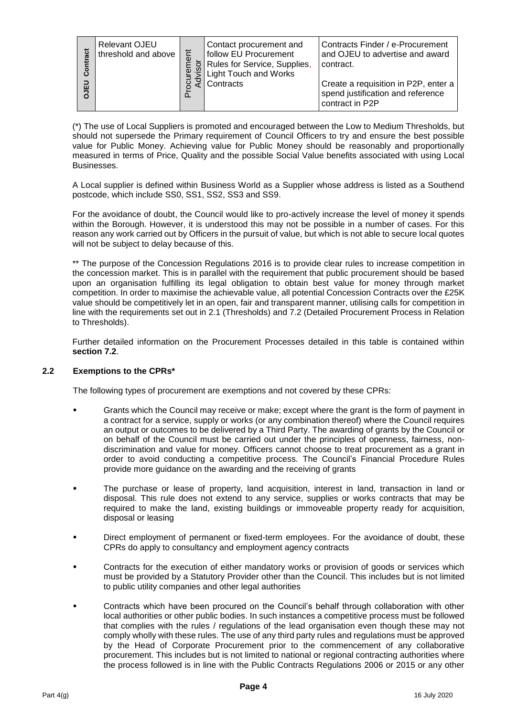| ract<br>Contr<br>립 | <b>Relevant OJEU</b><br>threshold and above<br>$\overline{\omega}$ | Contact procurement and<br>follow EU Procurement<br>Rules for Service, Supplies,<br><b>Light Touch and Works</b><br>Contracts | Contracts Finder / e-Procurement<br>and OJEU to advertise and award<br>contract.<br>Create a requisition in P2P, enter a<br>spend justification and reference<br>contract in P2P |
|--------------------|--------------------------------------------------------------------|-------------------------------------------------------------------------------------------------------------------------------|----------------------------------------------------------------------------------------------------------------------------------------------------------------------------------|
|--------------------|--------------------------------------------------------------------|-------------------------------------------------------------------------------------------------------------------------------|----------------------------------------------------------------------------------------------------------------------------------------------------------------------------------|

(\*) The use of Local Suppliers is promoted and encouraged between the Low to Medium Thresholds, but should not supersede the Primary requirement of Council Officers to try and ensure the best possible value for Public Money. Achieving value for Public Money should be reasonably and proportionally measured in terms of Price, Quality and the possible Social Value benefits associated with using Local Businesses.

A Local supplier is defined within Business World as a Supplier whose address is listed as a Southend postcode, which include SS0, SS1, SS2, SS3 and SS9.

For the avoidance of doubt, the Council would like to pro-actively increase the level of money it spends within the Borough. However, it is understood this may not be possible in a number of cases. For this reason any work carried out by Officers in the pursuit of value, but which is not able to secure local quotes will not be subject to delay because of this.

The total doctors and the solid of the solid stress of the solid stress of the solid stress of the solid stress of the solid stress of the solid stress of the solid stress of the solid stress of the solid stress of the sol \*\* The purpose of the Concession Regulations 2016 is to provide clear rules to increase competition in the concession market. This is in parallel with the requirement that public procurement should be based upon an organisation fulfilling its legal obligation to obtain best value for money through market competition. In order to maximise the achievable value, all potential Concession Contracts over the £25K value should be competitively let in an open, fair and transparent manner, utilising calls for competition in line with the requirements set out in 2.1 (Thresholds) and 7.2 (Detailed Procurement Process in Relation to Thresholds).

Further detailed information on the Procurement Processes detailed in this table is contained within **section 7.2**.

#### **2.2 Exemptions to the CPRs\***

The following types of procurement are exemptions and not covered by these CPRs:

- Grants which the Council may receive or make; except where the grant is the form of payment in a contract for a service, supply or works (or any combination thereof) where the Council requires an output or outcomes to be delivered by a Third Party. The awarding of grants by the Council or on behalf of the Council must be carried out under the principles of openness, fairness, nondiscrimination and value for money. Officers cannot choose to treat procurement as a grant in order to avoid conducting a competitive process. The Council's Financial Procedure Rules provide more guidance on the awarding and the receiving of grants
- The purchase or lease of property, land acquisition, interest in land, transaction in land or disposal. This rule does not extend to any service, supplies or works contracts that may be required to make the land, existing buildings or immoveable property ready for acquisition, disposal or leasing
- Direct employment of permanent or fixed-term employees. For the avoidance of doubt, these CPRs do apply to consultancy and employment agency contracts
- Contracts for the execution of either mandatory works or provision of goods or services which must be provided by a Statutory Provider other than the Council. This includes but is not limited to public utility companies and other legal authorities
- Contracts which have been procured on the Council's behalf through collaboration with other local authorities or other public bodies. In such instances a competitive process must be followed that complies with the rules / regulations of the lead organisation even though these may not comply wholly with these rules. The use of any third party rules and regulations must be approved by the Head of Corporate Procurement prior to the commencement of any collaborative procurement. This includes but is not limited to national or regional contracting authorities where the process followed is in line with the Public Contracts Regulations 2006 or 2015 or any other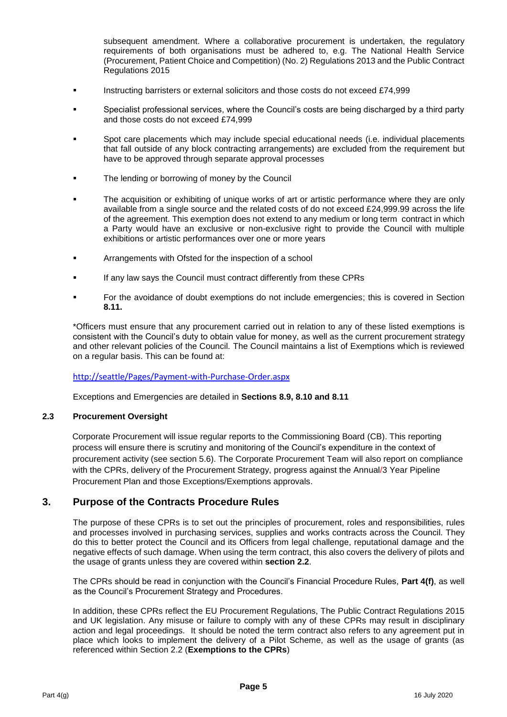subsequent amendment. Where a collaborative procurement is undertaken, the regulatory requirements of both organisations must be adhered to, e.g. The National Health Service (Procurement, Patient Choice and Competition) (No. 2) Regulations 2013 and the Public Contract Regulations 2015

- **Instructing barristers or external solicitors and those costs do not exceed £74,999**
- Specialist professional services, where the Council's costs are being discharged by a third party and those costs do not exceed £74,999
- Spot care placements which may include special educational needs (i.e. individual placements that fall outside of any block contracting arrangements) are excluded from the requirement but have to be approved through separate approval processes
- **The lending or borrowing of money by the Council**
- The acquisition or exhibiting of unique works of art or artistic performance where they are only available from a single source and the related costs of do not exceed £24,999.99 across the life of the agreement. This exemption does not extend to any medium or long term contract in which a Party would have an exclusive or non-exclusive right to provide the Council with multiple exhibitions or artistic performances over one or more years
- Arrangements with Ofsted for the inspection of a school
- If any law says the Council must contract differently from these CPRs
- For the avoidance of doubt exemptions do not include emergencies; this is covered in Section **8.11.**

\*Officers must ensure that any procurement carried out in relation to any of these listed exemptions is consistent with the Council's duty to obtain value for money, as well as the current procurement strategy and other relevant policies of the Council. The Council maintains a list of Exemptions which is reviewed on a regular basis. This can be found at:

#### <http://seattle/Pages/Payment-with-Purchase-Order.aspx>

Exceptions and Emergencies are detailed in **Sections 8.9, 8.10 and 8.11**

#### **2.3 Procurement Oversight**

Corporate Procurement will issue regular reports to the Commissioning Board (CB). This reporting process will ensure there is scrutiny and monitoring of the Council's expenditure in the context of procurement activity (see section 5.6). The Corporate Procurement Team will also report on compliance with the CPRs, delivery of the Procurement Strategy, progress against the Annual/3 Year Pipeline Procurement Plan and those Exceptions/Exemptions approvals.

## **3. Purpose of the Contracts Procedure Rules**

The purpose of these CPRs is to set out the principles of procurement, roles and responsibilities, rules and processes involved in purchasing services, supplies and works contracts across the Council. They do this to better protect the Council and its Officers from legal challenge, reputational damage and the negative effects of such damage. When using the term contract, this also covers the delivery of pilots and the usage of grants unless they are covered within **section 2.2**.

The CPRs should be read in conjunction with the Council's Financial Procedure Rules, **Part 4(f)**, as well as the Council's Procurement Strategy and Procedures.

In addition, these CPRs reflect the EU Procurement Regulations, The Public Contract Regulations 2015 and UK legislation. Any misuse or failure to comply with any of these CPRs may result in disciplinary action and legal proceedings. It should be noted the term contract also refers to any agreement put in place which looks to implement the delivery of a Pilot Scheme, as well as the usage of grants (as referenced within Section 2.2 (**Exemptions to the CPRs**)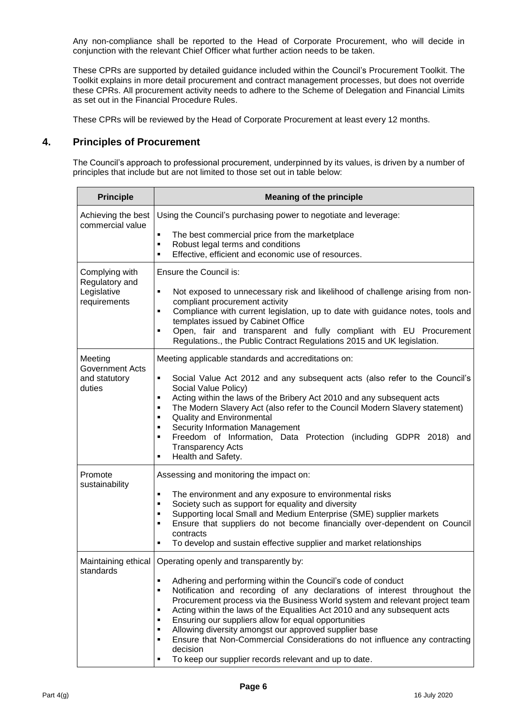Any non-compliance shall be reported to the Head of Corporate Procurement, who will decide in conjunction with the relevant Chief Officer what further action needs to be taken.

These CPRs are supported by detailed guidance included within the Council's Procurement Toolkit. The Toolkit explains in more detail procurement and contract management processes, but does not override these CPRs. All procurement activity needs to adhere to the Scheme of Delegation and Financial Limits as set out in the Financial Procedure Rules.

These CPRs will be reviewed by the Head of Corporate Procurement at least every 12 months.

## **4. Principles of Procurement**

The Council's approach to professional procurement, underpinned by its values, is driven by a number of principles that include but are not limited to those set out in table below:

| <b>Principle</b>                                  | <b>Meaning of the principle</b>                                                                                                                                                                                                                                                                                                                                                                                                                                                                                                                                                                                                                     |  |  |
|---------------------------------------------------|-----------------------------------------------------------------------------------------------------------------------------------------------------------------------------------------------------------------------------------------------------------------------------------------------------------------------------------------------------------------------------------------------------------------------------------------------------------------------------------------------------------------------------------------------------------------------------------------------------------------------------------------------------|--|--|
| Achieving the best<br>commercial value            | Using the Council's purchasing power to negotiate and leverage:                                                                                                                                                                                                                                                                                                                                                                                                                                                                                                                                                                                     |  |  |
|                                                   | The best commercial price from the marketplace<br>$\blacksquare$<br>Robust legal terms and conditions<br>٠<br>Effective, efficient and economic use of resources.<br>$\blacksquare$                                                                                                                                                                                                                                                                                                                                                                                                                                                                 |  |  |
| Complying with<br>Regulatory and<br>Legislative   | Ensure the Council is:<br>$\blacksquare$<br>Not exposed to unnecessary risk and likelihood of challenge arising from non-                                                                                                                                                                                                                                                                                                                                                                                                                                                                                                                           |  |  |
| requirements                                      | compliant procurement activity<br>Compliance with current legislation, up to date with guidance notes, tools and<br>$\blacksquare$<br>templates issued by Cabinet Office<br>Open, fair and transparent and fully compliant with EU Procurement<br>٠                                                                                                                                                                                                                                                                                                                                                                                                 |  |  |
| Meeting                                           | Regulations., the Public Contract Regulations 2015 and UK legislation.<br>Meeting applicable standards and accreditations on:                                                                                                                                                                                                                                                                                                                                                                                                                                                                                                                       |  |  |
| <b>Government Acts</b><br>and statutory<br>duties | $\blacksquare$<br>Social Value Act 2012 and any subsequent acts (also refer to the Council's<br>Social Value Policy)<br>Acting within the laws of the Bribery Act 2010 and any subsequent acts<br>$\blacksquare$<br>The Modern Slavery Act (also refer to the Council Modern Slavery statement)<br>٠<br><b>Quality and Environmental</b><br>٠<br><b>Security Information Management</b><br>٠<br>Freedom of Information, Data Protection (including GDPR 2018)<br>$\blacksquare$<br>and<br><b>Transparency Acts</b><br>Health and Safety.<br>$\blacksquare$                                                                                          |  |  |
| Promote<br>sustainability                         | Assessing and monitoring the impact on:                                                                                                                                                                                                                                                                                                                                                                                                                                                                                                                                                                                                             |  |  |
|                                                   | The environment and any exposure to environmental risks<br>٠<br>Society such as support for equality and diversity<br>٠<br>Supporting local Small and Medium Enterprise (SME) supplier markets<br>٠<br>Ensure that suppliers do not become financially over-dependent on Council<br>$\blacksquare$<br>contracts<br>To develop and sustain effective supplier and market relationships<br>П                                                                                                                                                                                                                                                          |  |  |
| Maintaining ethical<br>standards                  | Operating openly and transparently by:                                                                                                                                                                                                                                                                                                                                                                                                                                                                                                                                                                                                              |  |  |
|                                                   | Adhering and performing within the Council's code of conduct<br>٠<br>Notification and recording of any declarations of interest throughout the<br>$\blacksquare$<br>Procurement process via the Business World system and relevant project team<br>Acting within the laws of the Equalities Act 2010 and any subsequent acts<br>٠<br>Ensuring our suppliers allow for equal opportunities<br>٠<br>Allowing diversity amongst our approved supplier base<br>$\blacksquare$<br>Ensure that Non-Commercial Considerations do not influence any contracting<br>٠<br>decision<br>To keep our supplier records relevant and up to date.<br>$\blacksquare$ |  |  |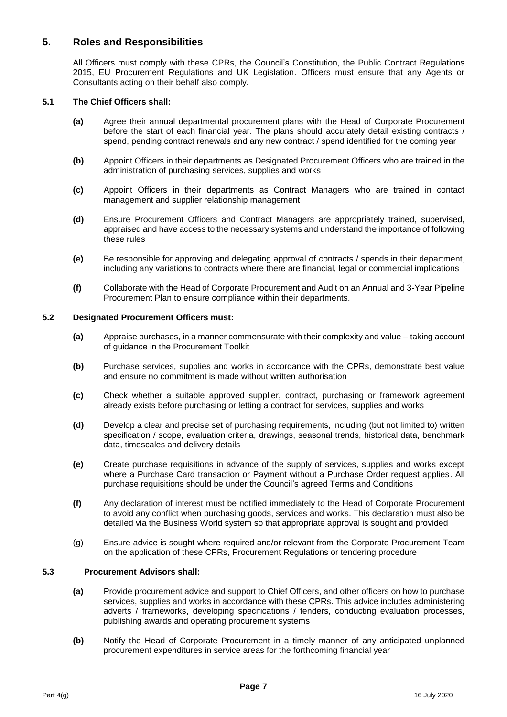## **5. Roles and Responsibilities**

All Officers must comply with these CPRs, the Council's Constitution, the Public Contract Regulations 2015, EU Procurement Regulations and UK Legislation. Officers must ensure that any Agents or Consultants acting on their behalf also comply.

#### **5.1 The Chief Officers shall:**

- **(a)** Agree their annual departmental procurement plans with the Head of Corporate Procurement before the start of each financial year. The plans should accurately detail existing contracts / spend, pending contract renewals and any new contract / spend identified for the coming year
- **(b)** Appoint Officers in their departments as Designated Procurement Officers who are trained in the administration of purchasing services, supplies and works
- **(c)** Appoint Officers in their departments as Contract Managers who are trained in contact management and supplier relationship management
- **(d)** Ensure Procurement Officers and Contract Managers are appropriately trained, supervised, appraised and have access to the necessary systems and understand the importance of following these rules
- **(e)** Be responsible for approving and delegating approval of contracts / spends in their department, including any variations to contracts where there are financial, legal or commercial implications
- **(f)** Collaborate with the Head of Corporate Procurement and Audit on an Annual and 3-Year Pipeline Procurement Plan to ensure compliance within their departments.

#### **5.2 Designated Procurement Officers must:**

- **(a)** Appraise purchases, in a manner commensurate with their complexity and value taking account of guidance in the Procurement Toolkit
- **(b)** Purchase services, supplies and works in accordance with the CPRs, demonstrate best value and ensure no commitment is made without written authorisation
- **(c)** Check whether a suitable approved supplier, contract, purchasing or framework agreement already exists before purchasing or letting a contract for services, supplies and works
- **(d)** Develop a clear and precise set of purchasing requirements, including (but not limited to) written specification / scope, evaluation criteria, drawings, seasonal trends, historical data, benchmark data, timescales and delivery details
- **(e)** Create purchase requisitions in advance of the supply of services, supplies and works except where a Purchase Card transaction or Payment without a Purchase Order request applies. All purchase requisitions should be under the Council's agreed Terms and Conditions
- **(f)** Any declaration of interest must be notified immediately to the Head of Corporate Procurement to avoid any conflict when purchasing goods, services and works. This declaration must also be detailed via the Business World system so that appropriate approval is sought and provided
- (g) Ensure advice is sought where required and/or relevant from the Corporate Procurement Team on the application of these CPRs, Procurement Regulations or tendering procedure

#### **5.3 Procurement Advisors shall:**

- **(a)** Provide procurement advice and support to Chief Officers, and other officers on how to purchase services, supplies and works in accordance with these CPRs. This advice includes administering adverts / frameworks, developing specifications / tenders, conducting evaluation processes, publishing awards and operating procurement systems
- **(b)** Notify the Head of Corporate Procurement in a timely manner of any anticipated unplanned procurement expenditures in service areas for the forthcoming financial year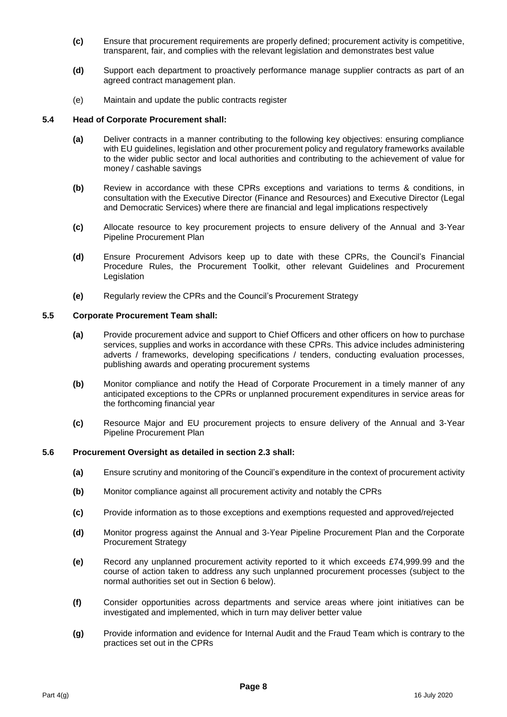- **(c)** Ensure that procurement requirements are properly defined; procurement activity is competitive, transparent, fair, and complies with the relevant legislation and demonstrates best value
- **(d)** Support each department to proactively performance manage supplier contracts as part of an agreed contract management plan.
- (e) Maintain and update the public contracts register

#### **5.4 Head of Corporate Procurement shall:**

- **(a)** Deliver contracts in a manner contributing to the following key objectives: ensuring compliance with EU guidelines, legislation and other procurement policy and regulatory frameworks available to the wider public sector and local authorities and contributing to the achievement of value for money / cashable savings
- **(b)** Review in accordance with these CPRs exceptions and variations to terms & conditions, in consultation with the Executive Director (Finance and Resources) and Executive Director (Legal and Democratic Services) where there are financial and legal implications respectively
- **(c)** Allocate resource to key procurement projects to ensure delivery of the Annual and 3-Year Pipeline Procurement Plan
- **(d)** Ensure Procurement Advisors keep up to date with these CPRs, the Council's Financial Procedure Rules, the Procurement Toolkit, other relevant Guidelines and Procurement Legislation
- **(e)** Regularly review the CPRs and the Council's Procurement Strategy

#### **5.5 Corporate Procurement Team shall:**

- **(a)** Provide procurement advice and support to Chief Officers and other officers on how to purchase services, supplies and works in accordance with these CPRs. This advice includes administering adverts / frameworks, developing specifications / tenders, conducting evaluation processes, publishing awards and operating procurement systems
- **(b)** Monitor compliance and notify the Head of Corporate Procurement in a timely manner of any anticipated exceptions to the CPRs or unplanned procurement expenditures in service areas for the forthcoming financial year
- **(c)** Resource Major and EU procurement projects to ensure delivery of the Annual and 3-Year Pipeline Procurement Plan

#### **5.6 Procurement Oversight as detailed in section 2.3 shall:**

- **(a)** Ensure scrutiny and monitoring of the Council's expenditure in the context of procurement activity
- **(b)** Monitor compliance against all procurement activity and notably the CPRs
- **(c)** Provide information as to those exceptions and exemptions requested and approved/rejected
- **(d)** Monitor progress against the Annual and 3-Year Pipeline Procurement Plan and the Corporate Procurement Strategy
- **(e)** Record any unplanned procurement activity reported to it which exceeds £74,999.99 and the course of action taken to address any such unplanned procurement processes (subject to the normal authorities set out in Section 6 below).
- **(f)** Consider opportunities across departments and service areas where joint initiatives can be investigated and implemented, which in turn may deliver better value
- **(g)** Provide information and evidence for Internal Audit and the Fraud Team which is contrary to the practices set out in the CPRs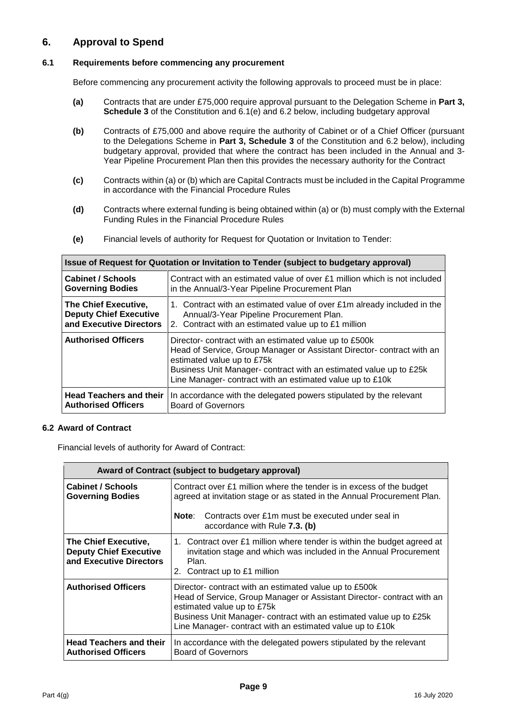## **6. Approval to Spend**

#### **6.1 Requirements before commencing any procurement**

Before commencing any procurement activity the following approvals to proceed must be in place:

- **(a)** Contracts that are under £75,000 require approval pursuant to the Delegation Scheme in **Part 3, Schedule 3** of the Constitution and 6.1(e) and 6.2 below, including budgetary approval
- **(b)** Contracts of £75,000 and above require the authority of Cabinet or of a Chief Officer (pursuant to the Delegations Scheme in **Part 3, Schedule 3** of the Constitution and 6.2 below), including budgetary approval, provided that where the contract has been included in the Annual and 3- Year Pipeline Procurement Plan then this provides the necessary authority for the Contract
- **(c)** Contracts within (a) or (b) which are Capital Contracts must be included in the Capital Programme in accordance with the Financial Procedure Rules
- **(d)** Contracts where external funding is being obtained within (a) or (b) must comply with the External Funding Rules in the Financial Procedure Rules
- **(e)** Financial levels of authority for Request for Quotation or Invitation to Tender:

**Issue of Request for Quotation or Invitation to Tender (subject to budgetary approval)**

| issue of Request for Quotation or invitation to Tender (subject to budgetary approval) |                                                                                                                                                                                                                                                                                                 |  |  |  |
|----------------------------------------------------------------------------------------|-------------------------------------------------------------------------------------------------------------------------------------------------------------------------------------------------------------------------------------------------------------------------------------------------|--|--|--|
| <b>Cabinet / Schools</b>                                                               | Contract with an estimated value of over $E1$ million which is not included                                                                                                                                                                                                                     |  |  |  |
| <b>Governing Bodies</b>                                                                | in the Annual/3-Year Pipeline Procurement Plan                                                                                                                                                                                                                                                  |  |  |  |
| The Chief Executive,                                                                   | 1. Contract with an estimated value of over £1m already included in the                                                                                                                                                                                                                         |  |  |  |
| <b>Deputy Chief Executive</b>                                                          | Annual/3-Year Pipeline Procurement Plan.                                                                                                                                                                                                                                                        |  |  |  |
| and Executive Directors                                                                | 2. Contract with an estimated value up to £1 million                                                                                                                                                                                                                                            |  |  |  |
| <b>Authorised Officers</b>                                                             | Director- contract with an estimated value up to £500k<br>Head of Service, Group Manager or Assistant Director-contract with an<br>estimated value up to £75k<br>Business Unit Manager- contract with an estimated value up to £25k<br>Line Manager-contract with an estimated value up to £10k |  |  |  |
| <b>Head Teachers and their</b>                                                         | In accordance with the delegated powers stipulated by the relevant                                                                                                                                                                                                                              |  |  |  |
| <b>Authorised Officers</b>                                                             | <b>Board of Governors</b>                                                                                                                                                                                                                                                                       |  |  |  |

#### **6.2 Award of Contract**

Financial levels of authority for Award of Contract:

| Award of Contract (subject to budgetary approval)                                       |                                                                                                                                                                                                                                                                                                   |  |  |
|-----------------------------------------------------------------------------------------|---------------------------------------------------------------------------------------------------------------------------------------------------------------------------------------------------------------------------------------------------------------------------------------------------|--|--|
| <b>Cabinet / Schools</b><br><b>Governing Bodies</b>                                     | Contract over £1 million where the tender is in excess of the budget<br>agreed at invitation stage or as stated in the Annual Procurement Plan.<br>Contracts over £1m must be executed under seal in<br>Note:<br>accordance with Rule 7.3. (b)                                                    |  |  |
| <b>The Chief Executive,</b><br><b>Deputy Chief Executive</b><br>and Executive Directors | 1. Contract over £1 million where tender is within the budget agreed at<br>invitation stage and which was included in the Annual Procurement<br>Plan.<br>2. Contract up to £1 million                                                                                                             |  |  |
| <b>Authorised Officers</b>                                                              | Director- contract with an estimated value up to £500k<br>Head of Service, Group Manager or Assistant Director- contract with an<br>estimated value up to £75k<br>Business Unit Manager- contract with an estimated value up to £25k<br>Line Manager- contract with an estimated value up to £10k |  |  |
| <b>Head Teachers and their</b><br><b>Authorised Officers</b>                            | In accordance with the delegated powers stipulated by the relevant<br><b>Board of Governors</b>                                                                                                                                                                                                   |  |  |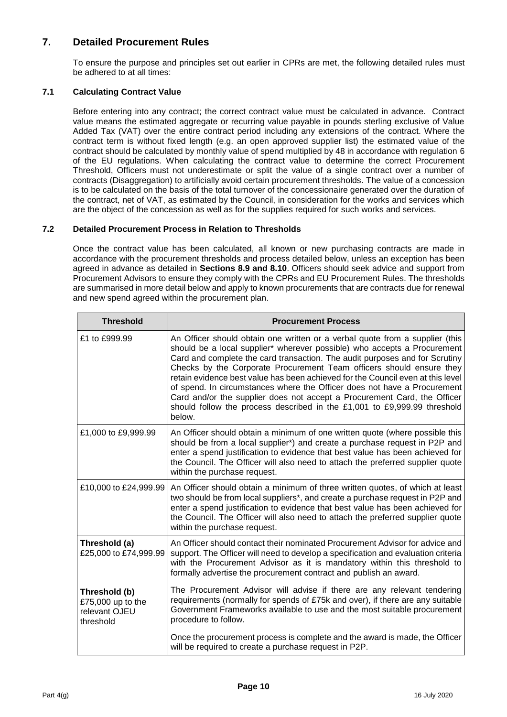## **7. Detailed Procurement Rules**

To ensure the purpose and principles set out earlier in CPRs are met, the following detailed rules must be adhered to at all times:

#### **7.1 Calculating Contract Value**

Before entering into any contract; the correct contract value must be calculated in advance. Contract value means the estimated aggregate or recurring value payable in pounds sterling exclusive of Value Added Tax (VAT) over the entire contract period including any extensions of the contract. Where the contract term is without fixed length (e.g. an open approved supplier list) the estimated value of the contract should be calculated by monthly value of spend multiplied by 48 in accordance with regulation 6 of the EU regulations. When calculating the contract value to determine the correct Procurement Threshold, Officers must not underestimate or split the value of a single contract over a number of contracts (Disaggregation) to artificially avoid certain procurement thresholds. The value of a concession is to be calculated on the basis of the total turnover of the concessionaire generated over the duration of the contract, net of VAT, as estimated by the Council, in consideration for the works and services which are the object of the concession as well as for the supplies required for such works and services.

#### **7.2 Detailed Procurement Process in Relation to Thresholds**

Once the contract value has been calculated, all known or new purchasing contracts are made in accordance with the procurement thresholds and process detailed below, unless an exception has been agreed in advance as detailed in **Sections 8.9 and 8.10**. Officers should seek advice and support from Procurement Advisors to ensure they comply with the CPRs and EU Procurement Rules. The thresholds are summarised in more detail below and apply to known procurements that are contracts due for renewal and new spend agreed within the procurement plan.

| <b>Threshold</b>                                                 | <b>Procurement Process</b>                                                                                                                                                                                                                                                                                                                                                                                                                                                                                                                                                                                                                       |
|------------------------------------------------------------------|--------------------------------------------------------------------------------------------------------------------------------------------------------------------------------------------------------------------------------------------------------------------------------------------------------------------------------------------------------------------------------------------------------------------------------------------------------------------------------------------------------------------------------------------------------------------------------------------------------------------------------------------------|
| £1 to £999.99                                                    | An Officer should obtain one written or a verbal quote from a supplier (this<br>should be a local supplier* wherever possible) who accepts a Procurement<br>Card and complete the card transaction. The audit purposes and for Scrutiny<br>Checks by the Corporate Procurement Team officers should ensure they<br>retain evidence best value has been achieved for the Council even at this level<br>of spend. In circumstances where the Officer does not have a Procurement<br>Card and/or the supplier does not accept a Procurement Card, the Officer<br>should follow the process described in the £1,001 to £9,999.99 threshold<br>below. |
| £1,000 to £9,999.99                                              | An Officer should obtain a minimum of one written quote (where possible this<br>should be from a local supplier*) and create a purchase request in P2P and<br>enter a spend justification to evidence that best value has been achieved for<br>the Council. The Officer will also need to attach the preferred supplier quote<br>within the purchase request.                                                                                                                                                                                                                                                                                    |
| £10,000 to £24,999.99                                            | An Officer should obtain a minimum of three written quotes, of which at least<br>two should be from local suppliers*, and create a purchase request in P2P and<br>enter a spend justification to evidence that best value has been achieved for<br>the Council. The Officer will also need to attach the preferred supplier quote<br>within the purchase request.                                                                                                                                                                                                                                                                                |
| Threshold (a)<br>£25,000 to £74,999.99                           | An Officer should contact their nominated Procurement Advisor for advice and<br>support. The Officer will need to develop a specification and evaluation criteria<br>with the Procurement Advisor as it is mandatory within this threshold to<br>formally advertise the procurement contract and publish an award.                                                                                                                                                                                                                                                                                                                               |
| Threshold (b)<br>£75,000 up to the<br>relevant OJEU<br>threshold | The Procurement Advisor will advise if there are any relevant tendering<br>requirements (normally for spends of £75k and over), if there are any suitable<br>Government Frameworks available to use and the most suitable procurement<br>procedure to follow.                                                                                                                                                                                                                                                                                                                                                                                    |
|                                                                  | Once the procurement process is complete and the award is made, the Officer<br>will be required to create a purchase request in P2P.                                                                                                                                                                                                                                                                                                                                                                                                                                                                                                             |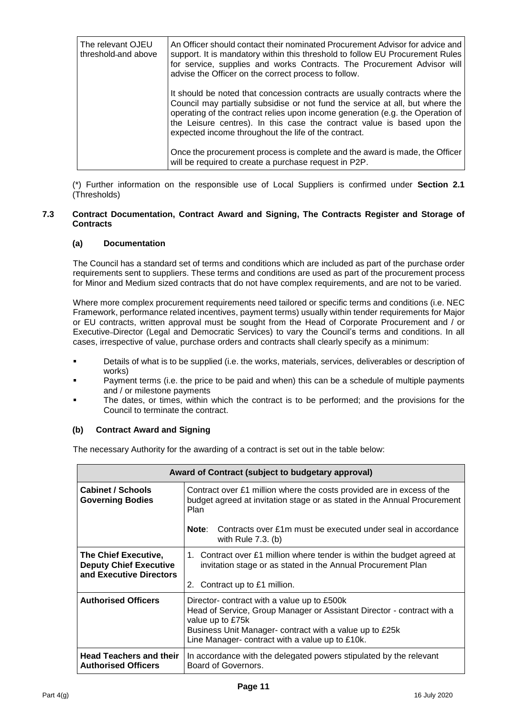| The relevant OJEU<br>threshold-and above | An Officer should contact their nominated Procurement Advisor for advice and<br>support. It is mandatory within this threshold to follow EU Procurement Rules<br>for service, supplies and works Contracts. The Procurement Advisor will<br>advise the Officer on the correct process to follow.                                                                                   |
|------------------------------------------|------------------------------------------------------------------------------------------------------------------------------------------------------------------------------------------------------------------------------------------------------------------------------------------------------------------------------------------------------------------------------------|
|                                          | It should be noted that concession contracts are usually contracts where the<br>Council may partially subsidise or not fund the service at all, but where the<br>operating of the contract relies upon income generation (e.g. the Operation of<br>the Leisure centres). In this case the contract value is based upon the<br>expected income throughout the life of the contract. |
|                                          | Once the procurement process is complete and the award is made, the Officer<br>will be required to create a purchase request in P2P.                                                                                                                                                                                                                                               |

(\*) Further information on the responsible use of Local Suppliers is confirmed under **Section 2.1** (Thresholds)

#### **7.3 Contract Documentation, Contract Award and Signing, The Contracts Register and Storage of Contracts**

#### **(a) Documentation**

The Council has a standard set of terms and conditions which are included as part of the purchase order requirements sent to suppliers. These terms and conditions are used as part of the procurement process for Minor and Medium sized contracts that do not have complex requirements, and are not to be varied.

Where more complex procurement requirements need tailored or specific terms and conditions (i.e. NEC Framework, performance related incentives, payment terms) usually within tender requirements for Major or EU contracts, written approval must be sought from the Head of Corporate Procurement and / or Executive Director (Legal and Democratic Services) to vary the Council's terms and conditions. In all cases, irrespective of value, purchase orders and contracts shall clearly specify as a minimum:

- Details of what is to be supplied (i.e. the works, materials, services, deliverables or description of works)
- Payment terms (i.e. the price to be paid and when) this can be a schedule of multiple payments and / or milestone payments
- The dates, or times, within which the contract is to be performed; and the provisions for the Council to terminate the contract.

#### **(b) Contract Award and Signing**

The necessary Authority for the awarding of a contract is set out in the table below:

| Award of Contract (subject to budgetary approval)                                                                                                                                                                                                                                     |                                                                                                                                                                          |  |  |  |
|---------------------------------------------------------------------------------------------------------------------------------------------------------------------------------------------------------------------------------------------------------------------------------------|--------------------------------------------------------------------------------------------------------------------------------------------------------------------------|--|--|--|
| <b>Cabinet / Schools</b><br><b>Governing Bodies</b>                                                                                                                                                                                                                                   | Contract over £1 million where the costs provided are in excess of the<br>budget agreed at invitation stage or as stated in the Annual Procurement<br><b>Plan</b>        |  |  |  |
|                                                                                                                                                                                                                                                                                       | Note:<br>Contracts over £1m must be executed under seal in accordance<br>with Rule $7.3$ . (b)                                                                           |  |  |  |
| The Chief Executive,<br><b>Deputy Chief Executive</b><br>and Executive Directors                                                                                                                                                                                                      | 1. Contract over £1 million where tender is within the budget agreed at<br>invitation stage or as stated in the Annual Procurement Plan<br>2. Contract up to £1 million. |  |  |  |
| <b>Authorised Officers</b><br>Director- contract with a value up to £500k<br>Head of Service, Group Manager or Assistant Director - contract with a<br>value up to £75k<br>Business Unit Manager- contract with a value up to £25k<br>Line Manager- contract with a value up to £10k. |                                                                                                                                                                          |  |  |  |
| <b>Head Teachers and their</b><br><b>Authorised Officers</b>                                                                                                                                                                                                                          | In accordance with the delegated powers stipulated by the relevant<br>Board of Governors.                                                                                |  |  |  |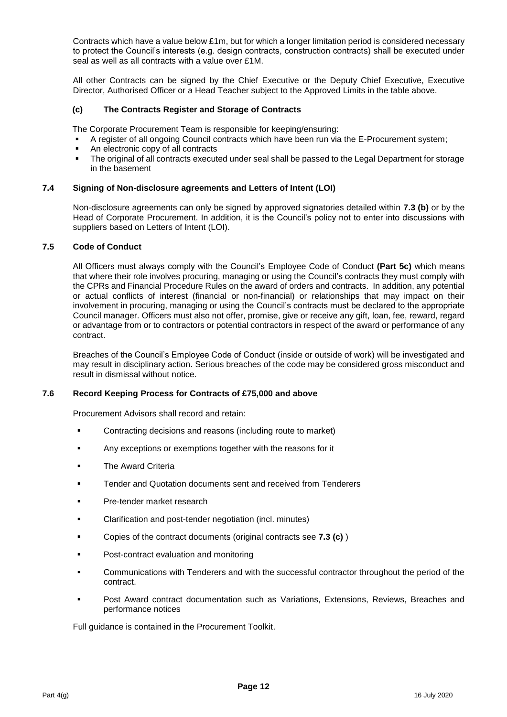Contracts which have a value below £1m, but for which a longer limitation period is considered necessary to protect the Council's interests (e.g. design contracts, construction contracts) shall be executed under seal as well as all contracts with a value over £1M.

All other Contracts can be signed by the Chief Executive or the Deputy Chief Executive, Executive Director, Authorised Officer or a Head Teacher subject to the Approved Limits in the table above.

#### **(c) The Contracts Register and Storage of Contracts**

The Corporate Procurement Team is responsible for keeping/ensuring:

- A register of all ongoing Council contracts which have been run via the E-Procurement system;
- An electronic copy of all contracts
- The original of all contracts executed under seal shall be passed to the Legal Department for storage in the basement

#### **7.4 Signing of Non-disclosure agreements and Letters of Intent (LOI)**

Non-disclosure agreements can only be signed by approved signatories detailed within **7.3 (b)** or by the Head of Corporate Procurement. In addition, it is the Council's policy not to enter into discussions with suppliers based on Letters of Intent (LOI).

#### **7.5 Code of Conduct**

All Officers must always comply with the Council's Employee Code of Conduct **(Part 5c)** which means that where their role involves procuring, managing or using the Council's contracts they must comply with the CPRs and Financial Procedure Rules on the award of orders and contracts. In addition, any potential or actual conflicts of interest (financial or non-financial) or relationships that may impact on their involvement in procuring, managing or using the Council's contracts must be declared to the appropriate Council manager. Officers must also not offer, promise, give or receive any gift, loan, fee, reward, regard or advantage from or to contractors or potential contractors in respect of the award or performance of any contract.

Breaches of the Council's Employee Code of Conduct (inside or outside of work) will be investigated and may result in disciplinary action. Serious breaches of the code may be considered gross misconduct and result in dismissal without notice.

#### **7.6 Record Keeping Process for Contracts of £75,000 and above**

Procurement Advisors shall record and retain:

- **EXECONDERIST CONTACTING DECISIONS** and reasons (including route to market)
- **Any exceptions or exemptions together with the reasons for it**
- The Award Criteria
- Tender and Quotation documents sent and received from Tenderers
- **Pre-tender market research**
- Clarification and post-tender negotiation (incl. minutes)
- Copies of the contract documents (original contracts see **7.3 (c)** )
- Post-contract evaluation and monitoring
- Communications with Tenderers and with the successful contractor throughout the period of the contract.
- Post Award contract documentation such as Variations, Extensions, Reviews, Breaches and performance notices

Full guidance is contained in the Procurement Toolkit.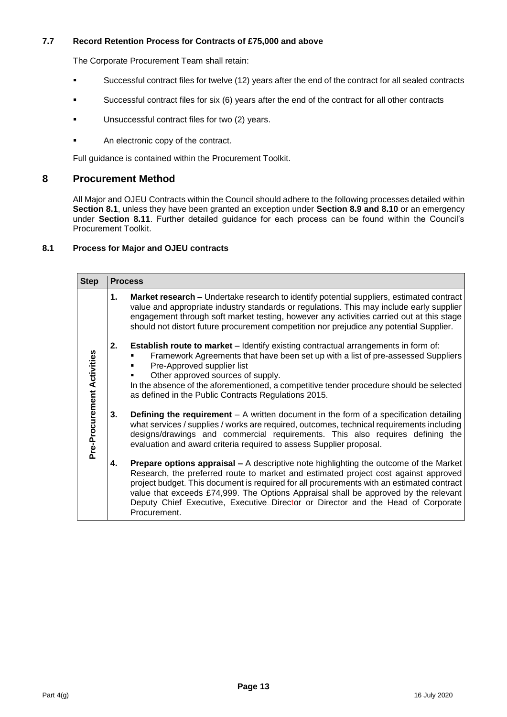#### **7.7 Record Retention Process for Contracts of £75,000 and above**

The Corporate Procurement Team shall retain:

- Successful contract files for twelve (12) years after the end of the contract for all sealed contracts
- Successful contract files for six (6) years after the end of the contract for all other contracts
- Unsuccessful contract files for two (2) years.
- An electronic copy of the contract.

Full guidance is contained within the Procurement Toolkit.

#### **8 Procurement Method**

All Major and OJEU Contracts within the Council should adhere to the following processes detailed within **Section 8.1**, unless they have been granted an exception under **Section 8.9 and 8.10** or an emergency under **Section 8.11**. Further detailed guidance for each process can be found within the Council's Procurement Toolkit.

#### **8.1 Process for Major and OJEU contracts**

| <b>Step</b>                | <b>Process</b> |                                                                                                                                                                                                                                                                                                                                                                                                                                                                             |  |  |
|----------------------------|----------------|-----------------------------------------------------------------------------------------------------------------------------------------------------------------------------------------------------------------------------------------------------------------------------------------------------------------------------------------------------------------------------------------------------------------------------------------------------------------------------|--|--|
| Pre-Procurement Activities | 1.             | <b>Market research - Undertake research to identify potential suppliers, estimated contract</b><br>value and appropriate industry standards or regulations. This may include early supplier<br>engagement through soft market testing, however any activities carried out at this stage<br>should not distort future procurement competition nor prejudice any potential Supplier.                                                                                          |  |  |
|                            | 2.             | <b>Establish route to market</b> – Identify existing contractual arrangements in form of:<br>Framework Agreements that have been set up with a list of pre-assessed Suppliers<br>Pre-Approved supplier list<br>Other approved sources of supply.<br>٠<br>In the absence of the aforementioned, a competitive tender procedure should be selected<br>as defined in the Public Contracts Regulations 2015.                                                                    |  |  |
|                            | 3.             | <b>Defining the requirement</b> – A written document in the form of a specification detailing<br>what services / supplies / works are required, outcomes, technical requirements including<br>designs/drawings and commercial requirements. This also requires defining the<br>evaluation and award criteria required to assess Supplier proposal.                                                                                                                          |  |  |
|                            | 4.             | <b>Prepare options appraisal – A descriptive note highlighting the outcome of the Market</b><br>Research, the preferred route to market and estimated project cost against approved<br>project budget. This document is required for all procurements with an estimated contract<br>value that exceeds £74,999. The Options Appraisal shall be approved by the relevant<br>Deputy Chief Executive, Executive-Director or Director and the Head of Corporate<br>Procurement. |  |  |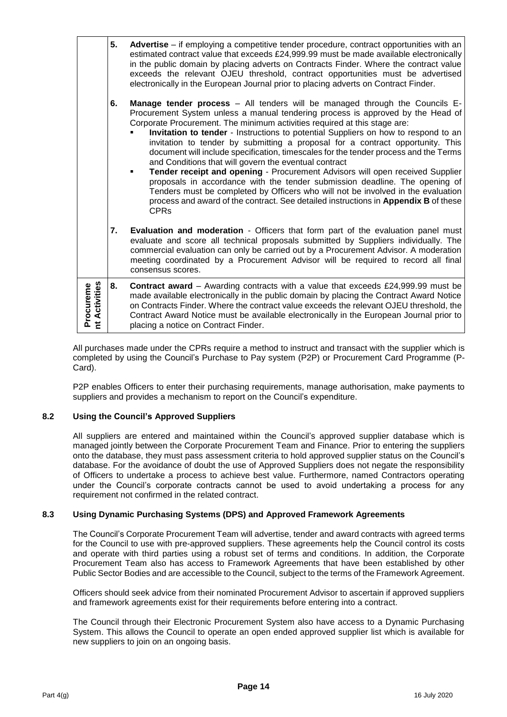|                                                 | 5.                                                                                                                                                                                                                                                                                                                                                                                                                                                                                                                                                                                                                                                                                                                                                                                                                                                                                                                                                    | Advertise – if employing a competitive tender procedure, contract opportunities with an<br>estimated contract value that exceeds £24,999.99 must be made available electronically<br>in the public domain by placing adverts on Contracts Finder. Where the contract value<br>exceeds the relevant OJEU threshold, contract opportunities must be advertised<br>electronically in the European Journal prior to placing adverts on Contract Finder. |
|-------------------------------------------------|-------------------------------------------------------------------------------------------------------------------------------------------------------------------------------------------------------------------------------------------------------------------------------------------------------------------------------------------------------------------------------------------------------------------------------------------------------------------------------------------------------------------------------------------------------------------------------------------------------------------------------------------------------------------------------------------------------------------------------------------------------------------------------------------------------------------------------------------------------------------------------------------------------------------------------------------------------|-----------------------------------------------------------------------------------------------------------------------------------------------------------------------------------------------------------------------------------------------------------------------------------------------------------------------------------------------------------------------------------------------------------------------------------------------------|
|                                                 | <b>Manage tender process</b> – All tenders will be managed through the Councils E-<br>Procurement System unless a manual tendering process is approved by the Head of<br>Corporate Procurement. The minimum activities required at this stage are:<br>Invitation to tender - Instructions to potential Suppliers on how to respond to an<br>invitation to tender by submitting a proposal for a contract opportunity. This<br>document will include specification, timescales for the tender process and the Terms<br>and Conditions that will govern the eventual contract<br>Tender receipt and opening - Procurement Advisors will open received Supplier<br>٠<br>proposals in accordance with the tender submission deadline. The opening of<br>Tenders must be completed by Officers who will not be involved in the evaluation<br>process and award of the contract. See detailed instructions in Appendix B of these<br><b>CPR<sub>s</sub></b> |                                                                                                                                                                                                                                                                                                                                                                                                                                                     |
|                                                 | 7.                                                                                                                                                                                                                                                                                                                                                                                                                                                                                                                                                                                                                                                                                                                                                                                                                                                                                                                                                    | <b>Evaluation and moderation</b> - Officers that form part of the evaluation panel must<br>evaluate and score all technical proposals submitted by Suppliers individually. The<br>commercial evaluation can only be carried out by a Procurement Advisor. A moderation<br>meeting coordinated by a Procurement Advisor will be required to record all final<br>consensus scores.                                                                    |
| <b>Activities</b><br>Procureme<br>nt Activities | 8.                                                                                                                                                                                                                                                                                                                                                                                                                                                                                                                                                                                                                                                                                                                                                                                                                                                                                                                                                    | <b>Contract award</b> – Awarding contracts with a value that exceeds £24,999.99 must be<br>made available electronically in the public domain by placing the Contract Award Notice<br>on Contracts Finder. Where the contract value exceeds the relevant OJEU threshold, the<br>Contract Award Notice must be available electronically in the European Journal prior to<br>placing a notice on Contract Finder.                                     |

All purchases made under the CPRs require a method to instruct and transact with the supplier which is completed by using the Council's Purchase to Pay system (P2P) or Procurement Card Programme (P-Card).

P2P enables Officers to enter their purchasing requirements, manage authorisation, make payments to suppliers and provides a mechanism to report on the Council's expenditure.

#### **8.2 Using the Council's Approved Suppliers**

All suppliers are entered and maintained within the Council's approved supplier database which is managed jointly between the Corporate Procurement Team and Finance. Prior to entering the suppliers onto the database, they must pass assessment criteria to hold approved supplier status on the Council's database. For the avoidance of doubt the use of Approved Suppliers does not negate the responsibility of Officers to undertake a process to achieve best value. Furthermore, named Contractors operating under the Council's corporate contracts cannot be used to avoid undertaking a process for any requirement not confirmed in the related contract.

#### **8.3 Using Dynamic Purchasing Systems (DPS) and Approved Framework Agreements**

The Council's Corporate Procurement Team will advertise, tender and award contracts with agreed terms for the Council to use with pre-approved suppliers. These agreements help the Council control its costs and operate with third parties using a robust set of terms and conditions. In addition, the Corporate Procurement Team also has access to Framework Agreements that have been established by other Public Sector Bodies and are accessible to the Council, subject to the terms of the Framework Agreement.

Officers should seek advice from their nominated Procurement Advisor to ascertain if approved suppliers and framework agreements exist for their requirements before entering into a contract.

The Council through their Electronic Procurement System also have access to a Dynamic Purchasing System. This allows the Council to operate an open ended approved supplier list which is available for new suppliers to join on an ongoing basis.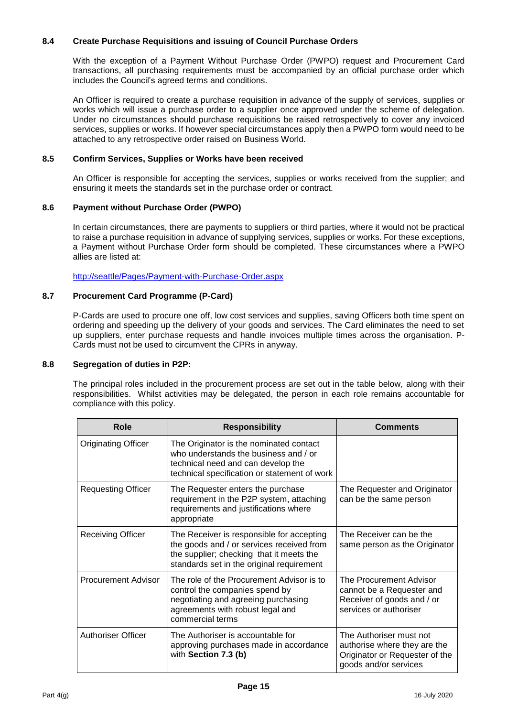#### **8.4 Create Purchase Requisitions and issuing of Council Purchase Orders**

With the exception of a Payment Without Purchase Order (PWPO) request and Procurement Card transactions, all purchasing requirements must be accompanied by an official purchase order which includes the Council's agreed terms and conditions.

An Officer is required to create a purchase requisition in advance of the supply of services, supplies or works which will issue a purchase order to a supplier once approved under the scheme of delegation. Under no circumstances should purchase requisitions be raised retrospectively to cover any invoiced services, supplies or works. If however special circumstances apply then a PWPO form would need to be attached to any retrospective order raised on Business World.

#### **8.5 Confirm Services, Supplies or Works have been received**

An Officer is responsible for accepting the services, supplies or works received from the supplier; and ensuring it meets the standards set in the purchase order or contract.

#### **8.6 Payment without Purchase Order (PWPO)**

In certain circumstances, there are payments to suppliers or third parties, where it would not be practical to raise a purchase requisition in advance of supplying services, supplies or works. For these exceptions, a Payment without Purchase Order form should be completed. These circumstances where a PWPO allies are listed at:

<http://seattle/Pages/Payment-with-Purchase-Order.aspx>

#### **8.7 Procurement Card Programme (P-Card)**

P-Cards are used to procure one off, low cost services and supplies, saving Officers both time spent on ordering and speeding up the delivery of your goods and services. The Card eliminates the need to set up suppliers, enter purchase requests and handle invoices multiple times across the organisation. P-Cards must not be used to circumvent the CPRs in anyway.

#### **8.8 Segregation of duties in P2P:**

The principal roles included in the procurement process are set out in the table below, along with their responsibilities. Whilst activities may be delegated, the person in each role remains accountable for compliance with this policy.

| Role                       | <b>Responsibility</b>                                                                                                                                                           | <b>Comments</b>                                                                                                    |
|----------------------------|---------------------------------------------------------------------------------------------------------------------------------------------------------------------------------|--------------------------------------------------------------------------------------------------------------------|
| <b>Originating Officer</b> | The Originator is the nominated contact<br>who understands the business and / or<br>technical need and can develop the<br>technical specification or statement of work          |                                                                                                                    |
| <b>Requesting Officer</b>  | The Requester enters the purchase<br>requirement in the P2P system, attaching<br>requirements and justifications where<br>appropriate                                           | The Requester and Originator<br>can be the same person                                                             |
| <b>Receiving Officer</b>   | The Receiver is responsible for accepting<br>the goods and / or services received from<br>the supplier; checking that it meets the<br>standards set in the original requirement | The Receiver can be the<br>same person as the Originator                                                           |
| <b>Procurement Advisor</b> | The role of the Procurement Advisor is to<br>control the companies spend by<br>negotiating and agreeing purchasing<br>agreements with robust legal and<br>commercial terms      | The Procurement Advisor<br>cannot be a Requester and<br>Receiver of goods and / or<br>services or authoriser       |
| <b>Authoriser Officer</b>  | The Authoriser is accountable for<br>approving purchases made in accordance<br>with Section 7.3 (b)                                                                             | The Authoriser must not<br>authorise where they are the<br>Originator or Requester of the<br>goods and/or services |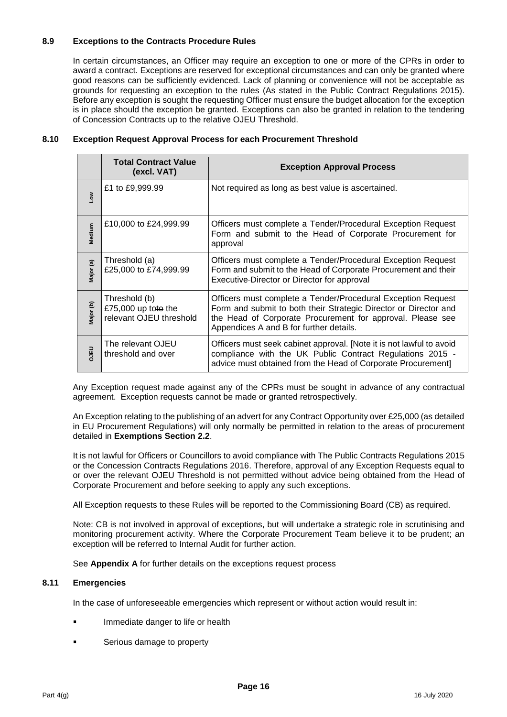#### **8.9 Exceptions to the Contracts Procedure Rules**

In certain circumstances, an Officer may require an exception to one or more of the CPRs in order to award a contract. Exceptions are reserved for exceptional circumstances and can only be granted where good reasons can be sufficiently evidenced. Lack of planning or convenience will not be acceptable as grounds for requesting an exception to the rules (As stated in the Public Contract Regulations 2015). Before any exception is sought the requesting Officer must ensure the budget allocation for the exception is in place should the exception be granted. Exceptions can also be granted in relation to the tendering of Concession Contracts up to the relative OJEU Threshold.

| 8.10 |  |  | <b>Exception Request Approval Process for each Procurement Threshold</b> |
|------|--|--|--------------------------------------------------------------------------|
|------|--|--|--------------------------------------------------------------------------|

|           | <b>Total Contract Value</b><br>(excl. VAT)                      | <b>Exception Approval Process</b>                                                                                                                                                                                                         |
|-----------|-----------------------------------------------------------------|-------------------------------------------------------------------------------------------------------------------------------------------------------------------------------------------------------------------------------------------|
| Low       | £1 to £9,999.99                                                 | Not required as long as best value is ascertained.                                                                                                                                                                                        |
| Medium    | £10,000 to £24,999.99                                           | Officers must complete a Tender/Procedural Exception Request<br>Form and submit to the Head of Corporate Procurement for<br>approval                                                                                                      |
| Major (a) | Threshold (a)<br>£25,000 to £74,999.99                          | Officers must complete a Tender/Procedural Exception Request<br>Form and submit to the Head of Corporate Procurement and their<br>Executive-Director or Director for approval                                                             |
| Major (b) | Threshold (b)<br>£75,000 up toto the<br>relevant OJEU threshold | Officers must complete a Tender/Procedural Exception Request<br>Form and submit to both their Strategic Director or Director and<br>the Head of Corporate Procurement for approval. Please see<br>Appendices A and B for further details. |
| DJEU      | The relevant OJEU<br>threshold and over                         | Officers must seek cabinet approval. [Note it is not lawful to avoid<br>compliance with the UK Public Contract Regulations 2015 -<br>advice must obtained from the Head of Corporate Procurement]                                         |

Any Exception request made against any of the CPRs must be sought in advance of any contractual agreement. Exception requests cannot be made or granted retrospectively.

An Exception relating to the publishing of an advert for any Contract Opportunity over £25,000 (as detailed in EU Procurement Regulations) will only normally be permitted in relation to the areas of procurement detailed in **Exemptions Section 2.2**.

It is not lawful for Officers or Councillors to avoid compliance with The Public Contracts Regulations 2015 or the Concession Contracts Regulations 2016. Therefore, approval of any Exception Requests equal to or over the relevant OJEU Threshold is not permitted without advice being obtained from the Head of Corporate Procurement and before seeking to apply any such exceptions.

All Exception requests to these Rules will be reported to the Commissioning Board (CB) as required.

Note: CB is not involved in approval of exceptions, but will undertake a strategic role in scrutinising and monitoring procurement activity. Where the Corporate Procurement Team believe it to be prudent; an exception will be referred to Internal Audit for further action.

See **Appendix A** for further details on the exceptions request process

#### **8.11 Emergencies**

In the case of unforeseeable emergencies which represent or without action would result in:

- Immediate danger to life or health
- Serious damage to property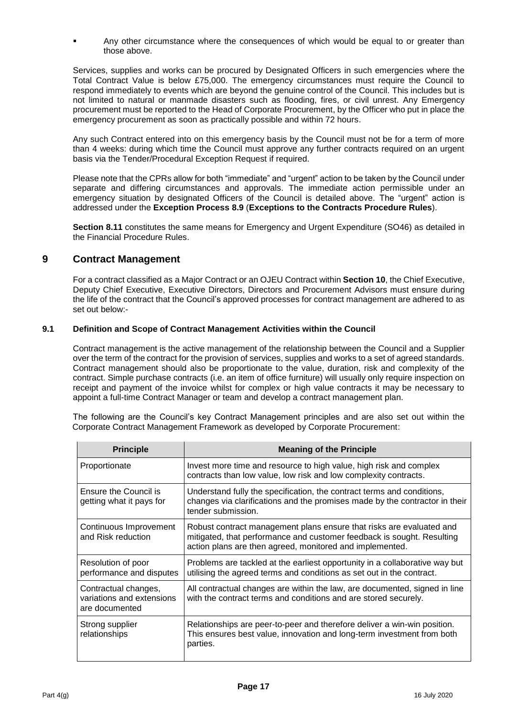Any other circumstance where the consequences of which would be equal to or greater than those above.

Services, supplies and works can be procured by Designated Officers in such emergencies where the Total Contract Value is below £75,000. The emergency circumstances must require the Council to respond immediately to events which are beyond the genuine control of the Council. This includes but is not limited to natural or manmade disasters such as flooding, fires, or civil unrest. Any Emergency procurement must be reported to the Head of Corporate Procurement, by the Officer who put in place the emergency procurement as soon as practically possible and within 72 hours.

Any such Contract entered into on this emergency basis by the Council must not be for a term of more than 4 weeks: during which time the Council must approve any further contracts required on an urgent basis via the Tender/Procedural Exception Request if required.

Please note that the CPRs allow for both "immediate" and "urgent" action to be taken by the Council under separate and differing circumstances and approvals. The immediate action permissible under an emergency situation by designated Officers of the Council is detailed above. The "urgent" action is addressed under the **Exception Process 8.9** (**Exceptions to the Contracts Procedure Rules**).

**Section 8.11** constitutes the same means for Emergency and Urgent Expenditure (SO46) as detailed in the Financial Procedure Rules.

## **9 Contract Management**

For a contract classified as a Major Contract or an OJEU Contract within **Section 10**, the Chief Executive, Deputy Chief Executive, Executive Directors, Directors and Procurement Advisors must ensure during the life of the contract that the Council's approved processes for contract management are adhered to as set out below:-

#### **9.1 Definition and Scope of Contract Management Activities within the Council**

Contract management is the active management of the relationship between the Council and a Supplier over the term of the contract for the provision of services, supplies and works to a set of agreed standards. Contract management should also be proportionate to the value, duration, risk and complexity of the contract. Simple purchase contracts (i.e. an item of office furniture) will usually only require inspection on receipt and payment of the invoice whilst for complex or high value contracts it may be necessary to appoint a full-time Contract Manager or team and develop a contract management plan.

The following are the Council's key Contract Management principles and are also set out within the Corporate Contract Management Framework as developed by Corporate Procurement:

| <b>Principle</b>                                                    | <b>Meaning of the Principle</b>                                                                                                                                                                            |
|---------------------------------------------------------------------|------------------------------------------------------------------------------------------------------------------------------------------------------------------------------------------------------------|
| Proportionate                                                       | Invest more time and resource to high value, high risk and complex<br>contracts than low value, low risk and low complexity contracts.                                                                     |
| Ensure the Council is<br>getting what it pays for                   | Understand fully the specification, the contract terms and conditions,<br>changes via clarifications and the promises made by the contractor in their<br>tender submission.                                |
| Continuous Improvement<br>and Risk reduction                        | Robust contract management plans ensure that risks are evaluated and<br>mitigated, that performance and customer feedback is sought. Resulting<br>action plans are then agreed, monitored and implemented. |
| Resolution of poor<br>performance and disputes                      | Problems are tackled at the earliest opportunity in a collaborative way but<br>utilising the agreed terms and conditions as set out in the contract.                                                       |
| Contractual changes,<br>variations and extensions<br>are documented | All contractual changes are within the law, are documented, signed in line<br>with the contract terms and conditions and are stored securely.                                                              |
| Strong supplier<br>relationships                                    | Relationships are peer-to-peer and therefore deliver a win-win position.<br>This ensures best value, innovation and long-term investment from both<br>parties.                                             |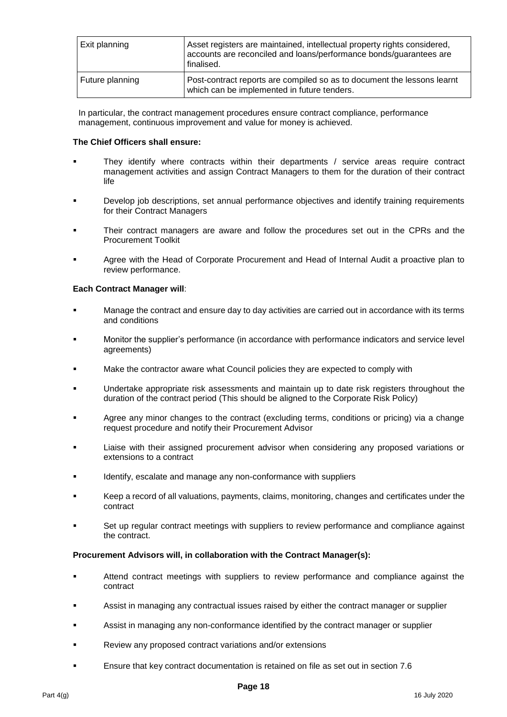| Exit planning   | Asset registers are maintained, intellectual property rights considered,<br>accounts are reconciled and loans/performance bonds/guarantees are<br>finalised. |
|-----------------|--------------------------------------------------------------------------------------------------------------------------------------------------------------|
| Future planning | Post-contract reports are compiled so as to document the lessons learnt<br>which can be implemented in future tenders.                                       |

In particular, the contract management procedures ensure contract compliance, performance management, continuous improvement and value for money is achieved.

#### **The Chief Officers shall ensure:**

- They identify where contracts within their departments / service areas require contract management activities and assign Contract Managers to them for the duration of their contract life
- Develop job descriptions, set annual performance objectives and identify training requirements for their Contract Managers
- Their contract managers are aware and follow the procedures set out in the CPRs and the Procurement Toolkit
- Agree with the Head of Corporate Procurement and Head of Internal Audit a proactive plan to review performance.

#### **Each Contract Manager will**:

- Manage the contract and ensure day to day activities are carried out in accordance with its terms and conditions
- Monitor the supplier's performance (in accordance with performance indicators and service level agreements)
- Make the contractor aware what Council policies they are expected to comply with
- Undertake appropriate risk assessments and maintain up to date risk registers throughout the duration of the contract period (This should be aligned to the Corporate Risk Policy)
- Agree any minor changes to the contract (excluding terms, conditions or pricing) via a change request procedure and notify their Procurement Advisor
- Liaise with their assigned procurement advisor when considering any proposed variations or extensions to a contract
- Identify, escalate and manage any non-conformance with suppliers
- Keep a record of all valuations, payments, claims, monitoring, changes and certificates under the contract
- Set up regular contract meetings with suppliers to review performance and compliance against the contract.

#### **Procurement Advisors will, in collaboration with the Contract Manager(s):**

- Attend contract meetings with suppliers to review performance and compliance against the contract
- Assist in managing any contractual issues raised by either the contract manager or supplier
- Assist in managing any non-conformance identified by the contract manager or supplier
- Review any proposed contract variations and/or extensions
- Ensure that key contract documentation is retained on file as set out in section 7.6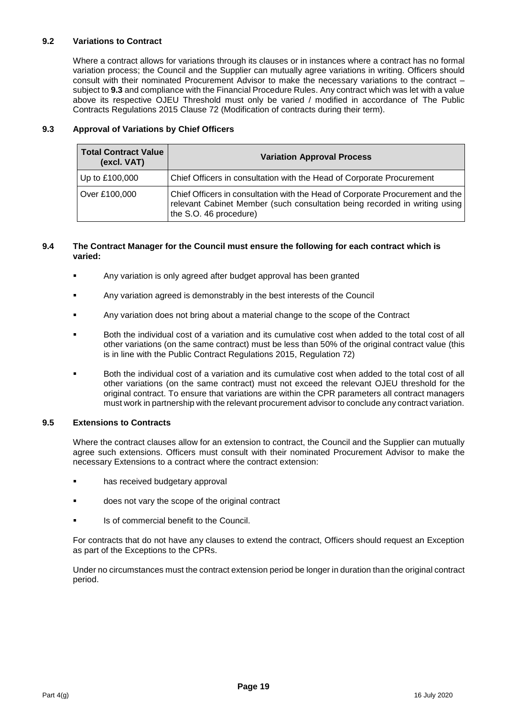#### **9.2 Variations to Contract**

Where a contract allows for variations through its clauses or in instances where a contract has no formal variation process; the Council and the Supplier can mutually agree variations in writing. Officers should consult with their nominated Procurement Advisor to make the necessary variations to the contract – subject to **9.3** and compliance with the Financial Procedure Rules. Any contract which was let with a value above its respective OJEU Threshold must only be varied / modified in accordance of The Public Contracts Regulations 2015 Clause 72 (Modification of contracts during their term).

#### **9.3 Approval of Variations by Chief Officers**

| <b>Total Contract Value</b><br>(excl. VAT) | <b>Variation Approval Process</b>                                                                                                                                                     |
|--------------------------------------------|---------------------------------------------------------------------------------------------------------------------------------------------------------------------------------------|
| Up to £100,000                             | Chief Officers in consultation with the Head of Corporate Procurement                                                                                                                 |
| Over £100,000                              | Chief Officers in consultation with the Head of Corporate Procurement and the<br>relevant Cabinet Member (such consultation being recorded in writing using<br>the S.O. 46 procedure) |

#### **9.4 The Contract Manager for the Council must ensure the following for each contract which is varied:**

- Any variation is only agreed after budget approval has been granted
- Any variation agreed is demonstrably in the best interests of the Council
- Any variation does not bring about a material change to the scope of the Contract
- Both the individual cost of a variation and its cumulative cost when added to the total cost of all other variations (on the same contract) must be less than 50% of the original contract value (this is in line with the Public Contract Regulations 2015, Regulation 72)
- Both the individual cost of a variation and its cumulative cost when added to the total cost of all other variations (on the same contract) must not exceed the relevant OJEU threshold for the original contract. To ensure that variations are within the CPR parameters all contract managers must work in partnership with the relevant procurement advisor to conclude any contract variation.

#### **9.5 Extensions to Contracts**

Where the contract clauses allow for an extension to contract, the Council and the Supplier can mutually agree such extensions. Officers must consult with their nominated Procurement Advisor to make the necessary Extensions to a contract where the contract extension:

- has received budgetary approval
- does not vary the scope of the original contract
- Is of commercial benefit to the Council.

For contracts that do not have any clauses to extend the contract, Officers should request an Exception as part of the Exceptions to the CPRs.

Under no circumstances must the contract extension period be longer in duration than the original contract period.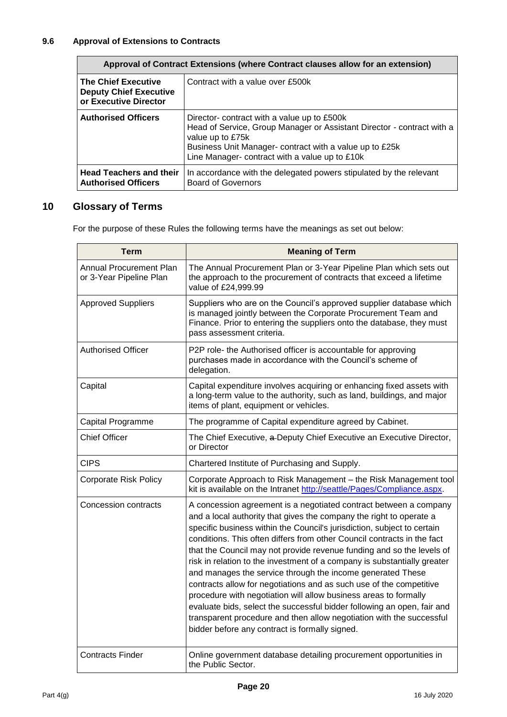| Approval of Contract Extensions (where Contract clauses allow for an extension)      |                                                                                                                                                                                                                                                        |  |
|--------------------------------------------------------------------------------------|--------------------------------------------------------------------------------------------------------------------------------------------------------------------------------------------------------------------------------------------------------|--|
| <b>The Chief Executive</b><br><b>Deputy Chief Executive</b><br>or Executive Director | Contract with a value over £500k                                                                                                                                                                                                                       |  |
| <b>Authorised Officers</b>                                                           | Director- contract with a value up to £500k<br>Head of Service, Group Manager or Assistant Director - contract with a<br>value up to £75k<br>Business Unit Manager- contract with a value up to £25k<br>Line Manager- contract with a value up to £10k |  |
| <b>Head Teachers and their</b><br><b>Authorised Officers</b>                         | In accordance with the delegated powers stipulated by the relevant<br><b>Board of Governors</b>                                                                                                                                                        |  |

## **10 Glossary of Terms**

For the purpose of these Rules the following terms have the meanings as set out below:

| <b>Term</b>                                        | <b>Meaning of Term</b>                                                                                                                                                                                                                                                                                                                                                                                                                                                                                                                                                                                                                                                                                                                                                                                                                                            |
|----------------------------------------------------|-------------------------------------------------------------------------------------------------------------------------------------------------------------------------------------------------------------------------------------------------------------------------------------------------------------------------------------------------------------------------------------------------------------------------------------------------------------------------------------------------------------------------------------------------------------------------------------------------------------------------------------------------------------------------------------------------------------------------------------------------------------------------------------------------------------------------------------------------------------------|
| Annual Procurement Plan<br>or 3-Year Pipeline Plan | The Annual Procurement Plan or 3-Year Pipeline Plan which sets out<br>the approach to the procurement of contracts that exceed a lifetime<br>value of £24,999.99                                                                                                                                                                                                                                                                                                                                                                                                                                                                                                                                                                                                                                                                                                  |
| <b>Approved Suppliers</b>                          | Suppliers who are on the Council's approved supplier database which<br>is managed jointly between the Corporate Procurement Team and<br>Finance. Prior to entering the suppliers onto the database, they must<br>pass assessment criteria.                                                                                                                                                                                                                                                                                                                                                                                                                                                                                                                                                                                                                        |
| <b>Authorised Officer</b>                          | P2P role- the Authorised officer is accountable for approving<br>purchases made in accordance with the Council's scheme of<br>delegation.                                                                                                                                                                                                                                                                                                                                                                                                                                                                                                                                                                                                                                                                                                                         |
| Capital                                            | Capital expenditure involves acquiring or enhancing fixed assets with<br>a long-term value to the authority, such as land, buildings, and major<br>items of plant, equipment or vehicles.                                                                                                                                                                                                                                                                                                                                                                                                                                                                                                                                                                                                                                                                         |
| Capital Programme                                  | The programme of Capital expenditure agreed by Cabinet.                                                                                                                                                                                                                                                                                                                                                                                                                                                                                                                                                                                                                                                                                                                                                                                                           |
| <b>Chief Officer</b>                               | The Chief Executive, a Deputy Chief Executive an Executive Director,<br>or Director                                                                                                                                                                                                                                                                                                                                                                                                                                                                                                                                                                                                                                                                                                                                                                               |
| <b>CIPS</b>                                        | Chartered Institute of Purchasing and Supply.                                                                                                                                                                                                                                                                                                                                                                                                                                                                                                                                                                                                                                                                                                                                                                                                                     |
| <b>Corporate Risk Policy</b>                       | Corporate Approach to Risk Management - the Risk Management tool<br>kit is available on the Intranet http://seattle/Pages/Compliance.aspx.                                                                                                                                                                                                                                                                                                                                                                                                                                                                                                                                                                                                                                                                                                                        |
| <b>Concession contracts</b>                        | A concession agreement is a negotiated contract between a company<br>and a local authority that gives the company the right to operate a<br>specific business within the Council's jurisdiction, subject to certain<br>conditions. This often differs from other Council contracts in the fact<br>that the Council may not provide revenue funding and so the levels of<br>risk in relation to the investment of a company is substantially greater<br>and manages the service through the income generated These<br>contracts allow for negotiations and as such use of the competitive<br>procedure with negotiation will allow business areas to formally<br>evaluate bids, select the successful bidder following an open, fair and<br>transparent procedure and then allow negotiation with the successful<br>bidder before any contract is formally signed. |
| <b>Contracts Finder</b>                            | Online government database detailing procurement opportunities in<br>the Public Sector.                                                                                                                                                                                                                                                                                                                                                                                                                                                                                                                                                                                                                                                                                                                                                                           |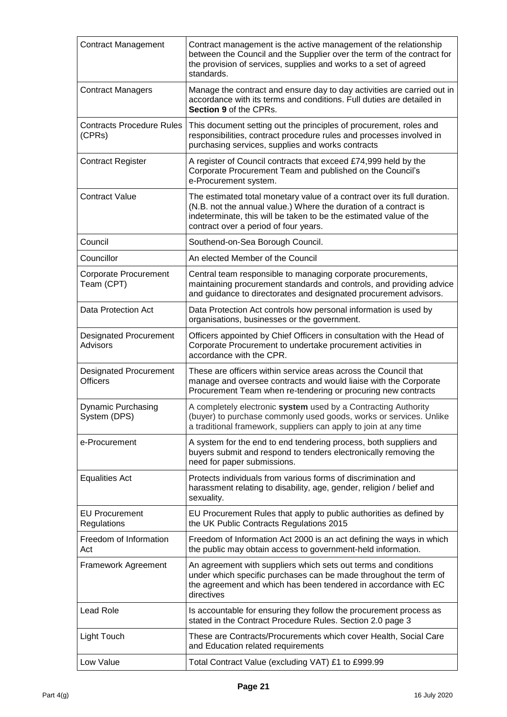| <b>Contract Management</b>                       | Contract management is the active management of the relationship<br>between the Council and the Supplier over the term of the contract for<br>the provision of services, supplies and works to a set of agreed<br>standards.                                |
|--------------------------------------------------|-------------------------------------------------------------------------------------------------------------------------------------------------------------------------------------------------------------------------------------------------------------|
| <b>Contract Managers</b>                         | Manage the contract and ensure day to day activities are carried out in<br>accordance with its terms and conditions. Full duties are detailed in<br>Section 9 of the CPRs.                                                                                  |
| <b>Contracts Procedure Rules</b><br>(CPRs)       | This document setting out the principles of procurement, roles and<br>responsibilities, contract procedure rules and processes involved in<br>purchasing services, supplies and works contracts                                                             |
| <b>Contract Register</b>                         | A register of Council contracts that exceed £74,999 held by the<br>Corporate Procurement Team and published on the Council's<br>e-Procurement system.                                                                                                       |
| <b>Contract Value</b>                            | The estimated total monetary value of a contract over its full duration.<br>(N.B. not the annual value.) Where the duration of a contract is<br>indeterminate, this will be taken to be the estimated value of the<br>contract over a period of four years. |
| Council                                          | Southend-on-Sea Borough Council.                                                                                                                                                                                                                            |
| Councillor                                       | An elected Member of the Council                                                                                                                                                                                                                            |
| <b>Corporate Procurement</b><br>Team (CPT)       | Central team responsible to managing corporate procurements,<br>maintaining procurement standards and controls, and providing advice<br>and guidance to directorates and designated procurement advisors.                                                   |
| Data Protection Act                              | Data Protection Act controls how personal information is used by<br>organisations, businesses or the government.                                                                                                                                            |
| <b>Designated Procurement</b><br>Advisors        | Officers appointed by Chief Officers in consultation with the Head of<br>Corporate Procurement to undertake procurement activities in<br>accordance with the CPR.                                                                                           |
| <b>Designated Procurement</b><br><b>Officers</b> | These are officers within service areas across the Council that<br>manage and oversee contracts and would liaise with the Corporate<br>Procurement Team when re-tendering or procuring new contracts                                                        |
| <b>Dynamic Purchasing</b><br>System (DPS)        | A completely electronic system used by a Contracting Authority<br>(buyer) to purchase commonly used goods, works or services. Unlike<br>a traditional framework, suppliers can apply to join at any time                                                    |
| e-Procurement                                    | A system for the end to end tendering process, both suppliers and<br>buyers submit and respond to tenders electronically removing the<br>need for paper submissions.                                                                                        |
| <b>Equalities Act</b>                            | Protects individuals from various forms of discrimination and<br>harassment relating to disability, age, gender, religion / belief and<br>sexuality.                                                                                                        |
| <b>EU Procurement</b><br>Regulations             | EU Procurement Rules that apply to public authorities as defined by<br>the UK Public Contracts Regulations 2015                                                                                                                                             |
| Freedom of Information<br>Act                    | Freedom of Information Act 2000 is an act defining the ways in which<br>the public may obtain access to government-held information.                                                                                                                        |
| Framework Agreement                              | An agreement with suppliers which sets out terms and conditions<br>under which specific purchases can be made throughout the term of<br>the agreement and which has been tendered in accordance with EC<br>directives                                       |
| Lead Role                                        | Is accountable for ensuring they follow the procurement process as<br>stated in the Contract Procedure Rules. Section 2.0 page 3                                                                                                                            |
| <b>Light Touch</b>                               | These are Contracts/Procurements which cover Health, Social Care<br>and Education related requirements                                                                                                                                                      |
| Low Value                                        | Total Contract Value (excluding VAT) £1 to £999.99                                                                                                                                                                                                          |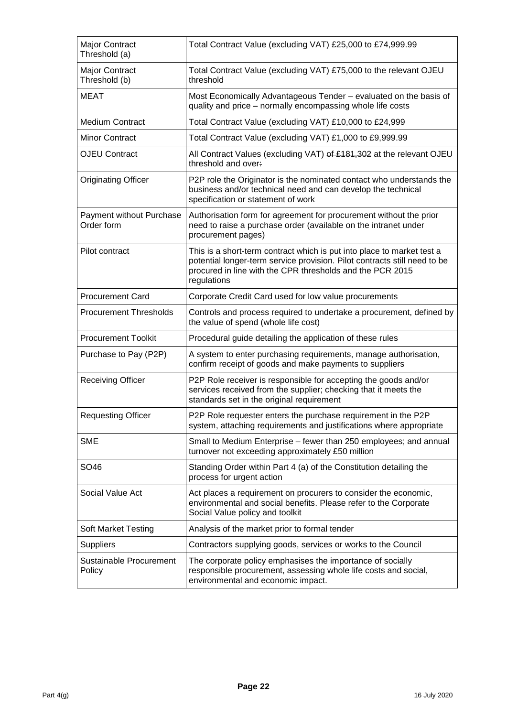| Major Contract<br>Threshold (a)        | Total Contract Value (excluding VAT) £25,000 to £74,999.99                                                                                                                                                                      |
|----------------------------------------|---------------------------------------------------------------------------------------------------------------------------------------------------------------------------------------------------------------------------------|
| Major Contract<br>Threshold (b)        | Total Contract Value (excluding VAT) £75,000 to the relevant OJEU<br>threshold                                                                                                                                                  |
| <b>MEAT</b>                            | Most Economically Advantageous Tender - evaluated on the basis of<br>quality and price - normally encompassing whole life costs                                                                                                 |
| <b>Medium Contract</b>                 | Total Contract Value (excluding VAT) £10,000 to £24,999                                                                                                                                                                         |
| <b>Minor Contract</b>                  | Total Contract Value (excluding VAT) £1,000 to £9,999.99                                                                                                                                                                        |
| <b>OJEU Contract</b>                   | All Contract Values (excluding VAT) of £181,302 at the relevant OJEU<br>threshold and over:                                                                                                                                     |
| <b>Originating Officer</b>             | P2P role the Originator is the nominated contact who understands the<br>business and/or technical need and can develop the technical<br>specification or statement of work                                                      |
| Payment without Purchase<br>Order form | Authorisation form for agreement for procurement without the prior<br>need to raise a purchase order (available on the intranet under<br>procurement pages)                                                                     |
| Pilot contract                         | This is a short-term contract which is put into place to market test a<br>potential longer-term service provision. Pilot contracts still need to be<br>procured in line with the CPR thresholds and the PCR 2015<br>regulations |
| <b>Procurement Card</b>                | Corporate Credit Card used for low value procurements                                                                                                                                                                           |
| <b>Procurement Thresholds</b>          | Controls and process required to undertake a procurement, defined by<br>the value of spend (whole life cost)                                                                                                                    |
| <b>Procurement Toolkit</b>             | Procedural guide detailing the application of these rules                                                                                                                                                                       |
| Purchase to Pay (P2P)                  | A system to enter purchasing requirements, manage authorisation,<br>confirm receipt of goods and make payments to suppliers                                                                                                     |
| <b>Receiving Officer</b>               | P2P Role receiver is responsible for accepting the goods and/or<br>services received from the supplier; checking that it meets the<br>standards set in the original requirement                                                 |
| <b>Requesting Officer</b>              | P2P Role requester enters the purchase requirement in the P2P<br>system, attaching requirements and justifications where appropriate                                                                                            |
| <b>SME</b>                             | Small to Medium Enterprise - fewer than 250 employees; and annual<br>turnover not exceeding approximately £50 million                                                                                                           |
| SO46                                   | Standing Order within Part 4 (a) of the Constitution detailing the<br>process for urgent action                                                                                                                                 |
| Social Value Act                       | Act places a requirement on procurers to consider the economic,<br>environmental and social benefits. Please refer to the Corporate<br>Social Value policy and toolkit                                                          |
| <b>Soft Market Testing</b>             | Analysis of the market prior to formal tender                                                                                                                                                                                   |
| <b>Suppliers</b>                       | Contractors supplying goods, services or works to the Council                                                                                                                                                                   |
| Sustainable Procurement<br>Policy      | The corporate policy emphasises the importance of socially<br>responsible procurement, assessing whole life costs and social,<br>environmental and economic impact.                                                             |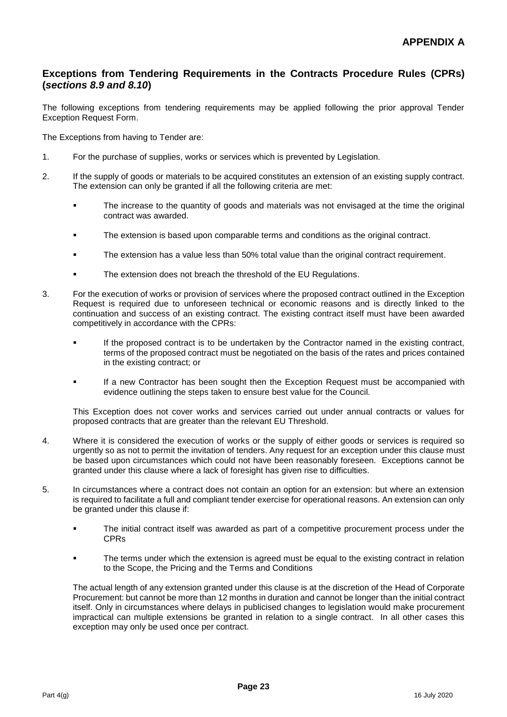## **Exceptions from Tendering Requirements in the Contracts Procedure Rules (CPRs) (***sections 8.9 and 8.10***)**

The following exceptions from tendering requirements may be applied following the prior approval Tender Exception Request Form.

The Exceptions from having to Tender are:

- 1. For the purchase of supplies, works or services which is prevented by Legislation.
- 2. If the supply of goods or materials to be acquired constitutes an extension of an existing supply contract. The extension can only be granted if all the following criteria are met:
	- The increase to the quantity of goods and materials was not envisaged at the time the original contract was awarded.
	- The extension is based upon comparable terms and conditions as the original contract.
	- **The extension has a value less than 50% total value than the original contract requirement.**
	- The extension does not breach the threshold of the EU Regulations.
- 3. For the execution of works or provision of services where the proposed contract outlined in the Exception Request is required due to unforeseen technical or economic reasons and is directly linked to the continuation and success of an existing contract. The existing contract itself must have been awarded competitively in accordance with the CPRs:
	- If the proposed contract is to be undertaken by the Contractor named in the existing contract, terms of the proposed contract must be negotiated on the basis of the rates and prices contained in the existing contract; or
	- If a new Contractor has been sought then the Exception Request must be accompanied with evidence outlining the steps taken to ensure best value for the Council.

This Exception does not cover works and services carried out under annual contracts or values for proposed contracts that are greater than the relevant EU Threshold.

- 4. Where it is considered the execution of works or the supply of either goods or services is required so urgently so as not to permit the invitation of tenders. Any request for an exception under this clause must be based upon circumstances which could not have been reasonably foreseen. Exceptions cannot be granted under this clause where a lack of foresight has given rise to difficulties.
- 5. In circumstances where a contract does not contain an option for an extension: but where an extension is required to facilitate a full and compliant tender exercise for operational reasons. An extension can only be granted under this clause if:
	- The initial contract itself was awarded as part of a competitive procurement process under the CPRs
	- The terms under which the extension is agreed must be equal to the existing contract in relation to the Scope, the Pricing and the Terms and Conditions

The actual length of any extension granted under this clause is at the discretion of the Head of Corporate Procurement: but cannot be more than 12 months in duration and cannot be longer than the initial contract itself. Only in circumstances where delays in publicised changes to legislation would make procurement impractical can multiple extensions be granted in relation to a single contract. In all other cases this exception may only be used once per contract.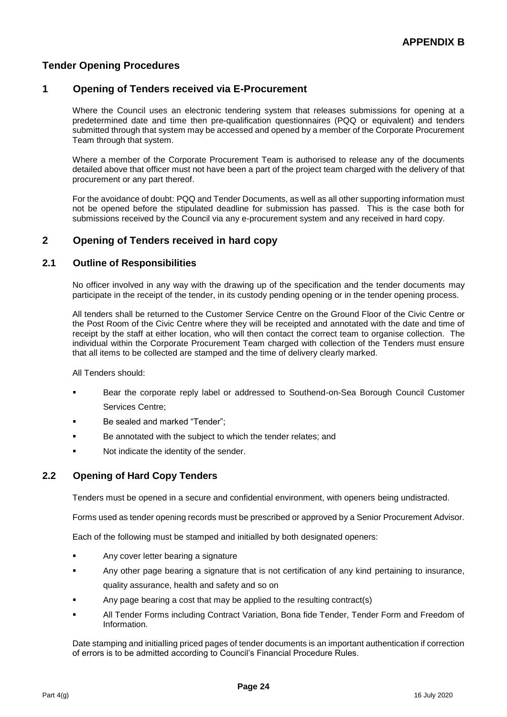## **Tender Opening Procedures**

## **1 Opening of Tenders received via E-Procurement**

Where the Council uses an electronic tendering system that releases submissions for opening at a predetermined date and time then pre-qualification questionnaires (PQQ or equivalent) and tenders submitted through that system may be accessed and opened by a member of the Corporate Procurement Team through that system.

Where a member of the Corporate Procurement Team is authorised to release any of the documents detailed above that officer must not have been a part of the project team charged with the delivery of that procurement or any part thereof.

For the avoidance of doubt: PQQ and Tender Documents, as well as all other supporting information must not be opened before the stipulated deadline for submission has passed. This is the case both for submissions received by the Council via any e-procurement system and any received in hard copy.

## **2 Opening of Tenders received in hard copy**

## **2.1 Outline of Responsibilities**

No officer involved in any way with the drawing up of the specification and the tender documents may participate in the receipt of the tender, in its custody pending opening or in the tender opening process.

All tenders shall be returned to the Customer Service Centre on the Ground Floor of the Civic Centre or the Post Room of the Civic Centre where they will be receipted and annotated with the date and time of receipt by the staff at either location, who will then contact the correct team to organise collection. The individual within the Corporate Procurement Team charged with collection of the Tenders must ensure that all items to be collected are stamped and the time of delivery clearly marked.

All Tenders should:

- Bear the corporate reply label or addressed to Southend-on-Sea Borough Council Customer Services Centre;
- Be sealed and marked "Tender";
- Be annotated with the subject to which the tender relates; and
- Not indicate the identity of the sender.

## **2.2 Opening of Hard Copy Tenders**

Tenders must be opened in a secure and confidential environment, with openers being undistracted.

Forms used as tender opening records must be prescribed or approved by a Senior Procurement Advisor.

Each of the following must be stamped and initialled by both designated openers:

- Any cover letter bearing a signature
- Any other page bearing a signature that is not certification of any kind pertaining to insurance, quality assurance, health and safety and so on
- Any page bearing a cost that may be applied to the resulting contract(s)
- All Tender Forms including Contract Variation, Bona fide Tender, Tender Form and Freedom of Information.

Date stamping and initialling priced pages of tender documents is an important authentication if correction of errors is to be admitted according to Council's Financial Procedure Rules.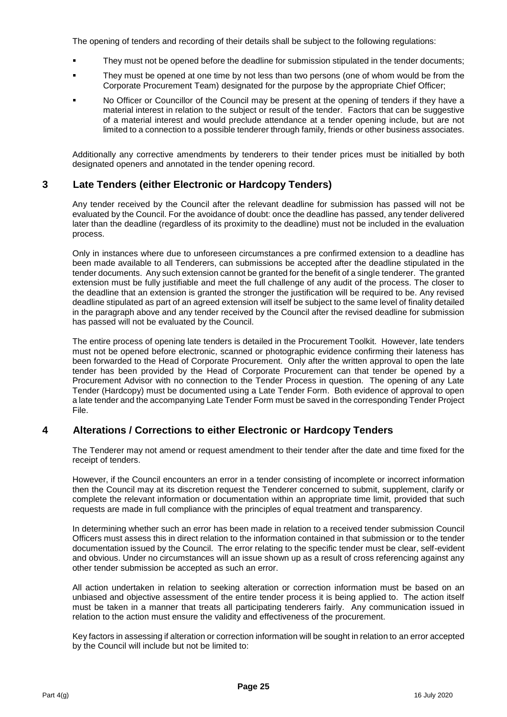The opening of tenders and recording of their details shall be subject to the following regulations:

- They must not be opened before the deadline for submission stipulated in the tender documents;
- They must be opened at one time by not less than two persons (one of whom would be from the Corporate Procurement Team) designated for the purpose by the appropriate Chief Officer;
- No Officer or Councillor of the Council may be present at the opening of tenders if they have a material interest in relation to the subject or result of the tender. Factors that can be suggestive of a material interest and would preclude attendance at a tender opening include, but are not limited to a connection to a possible tenderer through family, friends or other business associates.

Additionally any corrective amendments by tenderers to their tender prices must be initialled by both designated openers and annotated in the tender opening record.

#### **3 Late Tenders (either Electronic or Hardcopy Tenders)**

Any tender received by the Council after the relevant deadline for submission has passed will not be evaluated by the Council. For the avoidance of doubt: once the deadline has passed, any tender delivered later than the deadline (regardless of its proximity to the deadline) must not be included in the evaluation process.

Only in instances where due to unforeseen circumstances a pre confirmed extension to a deadline has been made available to all Tenderers, can submissions be accepted after the deadline stipulated in the tender documents. Any such extension cannot be granted for the benefit of a single tenderer. The granted extension must be fully justifiable and meet the full challenge of any audit of the process. The closer to the deadline that an extension is granted the stronger the justification will be required to be. Any revised deadline stipulated as part of an agreed extension will itself be subject to the same level of finality detailed in the paragraph above and any tender received by the Council after the revised deadline for submission has passed will not be evaluated by the Council.

The entire process of opening late tenders is detailed in the Procurement Toolkit. However, late tenders must not be opened before electronic, scanned or photographic evidence confirming their lateness has been forwarded to the Head of Corporate Procurement. Only after the written approval to open the late tender has been provided by the Head of Corporate Procurement can that tender be opened by a Procurement Advisor with no connection to the Tender Process in question. The opening of any Late Tender (Hardcopy) must be documented using a Late Tender Form. Both evidence of approval to open a late tender and the accompanying Late Tender Form must be saved in the corresponding Tender Project File.

## **4 Alterations / Corrections to either Electronic or Hardcopy Tenders**

The Tenderer may not amend or request amendment to their tender after the date and time fixed for the receipt of tenders.

However, if the Council encounters an error in a tender consisting of incomplete or incorrect information then the Council may at its discretion request the Tenderer concerned to submit, supplement, clarify or complete the relevant information or documentation within an appropriate time limit, provided that such requests are made in full compliance with the principles of equal treatment and transparency.

In determining whether such an error has been made in relation to a received tender submission Council Officers must assess this in direct relation to the information contained in that submission or to the tender documentation issued by the Council. The error relating to the specific tender must be clear, self-evident and obvious. Under no circumstances will an issue shown up as a result of cross referencing against any other tender submission be accepted as such an error.

All action undertaken in relation to seeking alteration or correction information must be based on an unbiased and objective assessment of the entire tender process it is being applied to. The action itself must be taken in a manner that treats all participating tenderers fairly. Any communication issued in relation to the action must ensure the validity and effectiveness of the procurement.

Key factors in assessing if alteration or correction information will be sought in relation to an error accepted by the Council will include but not be limited to: